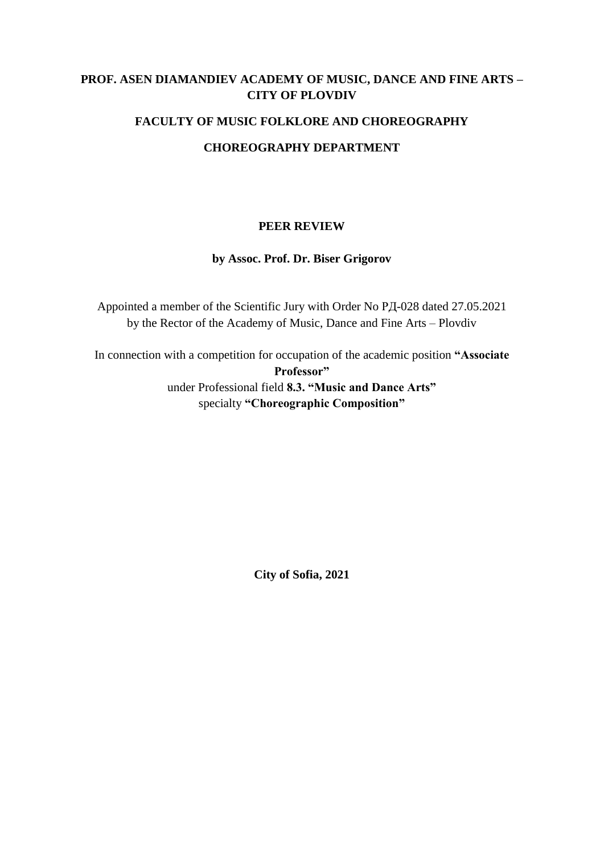# **PROF. ASEN DIAMANDIEV ACADEMY OF MUSIC, DANCE AND FINE ARTS – CITY OF PLOVDIV**

## **FACULTY OF MUSIC FOLKLORE AND CHOREOGRAPHY**

## **CHOREOGRAPHY DEPARTMENT**

### **PEER REVIEW**

## **by Assoc. Prof. Dr. Biser Grigorov**

Appointed a member of the Scientific Jury with Order No РД-028 dated 27.05.2021 by the Rector of the Academy of Music, Dance and Fine Arts – Plovdiv

In connection with a competition for occupation of the academic position **"Associate Professor"** under Professional field **8.3. "Music and Dance Arts"** specialty **"Choreographic Composition"**

**City of Sofia, 2021**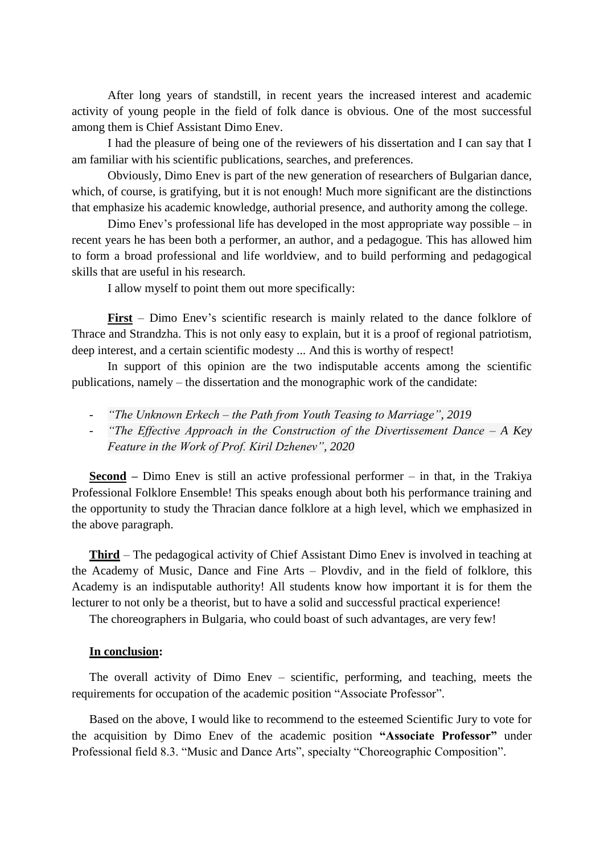After long years of standstill, in recent years the increased interest and academic activity of young people in the field of folk dance is obvious. One of the most successful among them is Chief Assistant Dimo Enev.

I had the pleasure of being one of the reviewers of his dissertation and I can say that I am familiar with his scientific publications, searches, and preferences.

Obviously, Dimo Enev is part of the new generation of researchers of Bulgarian dance, which, of course, is gratifying, but it is not enough! Much more significant are the distinctions that emphasize his academic knowledge, authorial presence, and authority among the college.

Dimo Enev's professional life has developed in the most appropriate way possible – in recent years he has been both a performer, an author, and a pedagogue. This has allowed him to form a broad professional and life worldview, and to build performing and pedagogical skills that are useful in his research.

I allow myself to point them out more specifically:

**First** – Dimo Enev's scientific research is mainly related to the dance folklore of Thrace and Strandzha. This is not only easy to explain, but it is a proof of regional patriotism, deep interest, and a certain scientific modesty ... And this is worthy of respect!

In support of this opinion are the two indisputable accents among the scientific publications, namely – the dissertation and the monographic work of the candidate:

- *"The Unknown Erkech – the Path from Youth Teasing to Marriage", 2019*
- *"The Effective Approach in the Construction of the Divertissement Dance – A Key Feature in the Work of Prof. Kiril Dzhenev", 2020*

**Second –** Dimo Enev is still an active professional performer – in that, in the Trakiya Professional Folklore Ensemble! This speaks enough about both his performance training and the opportunity to study the Thracian dance folklore at a high level, which we emphasized in the above paragraph.

**Third** – The pedagogical activity of Chief Assistant Dimo Enev is involved in teaching at the Academy of Music, Dance and Fine Arts – Plovdiv, and in the field of folklore, this Academy is an indisputable authority! All students know how important it is for them the lecturer to not only be a theorist, but to have a solid and successful practical experience!

The choreographers in Bulgaria, who could boast of such advantages, are very few!

#### **In conclusion:**

The overall activity of Dimo Enev – scientific, performing, and teaching, meets the requirements for occupation of the academic position "Associate Professor".

Based on the above, I would like to recommend to the esteemed Scientific Jury to vote for the acquisition by Dimo Enev of the academic position **"Associate Professor"** under Professional field 8.3. "Music and Dance Arts", specialty "Choreographic Composition".